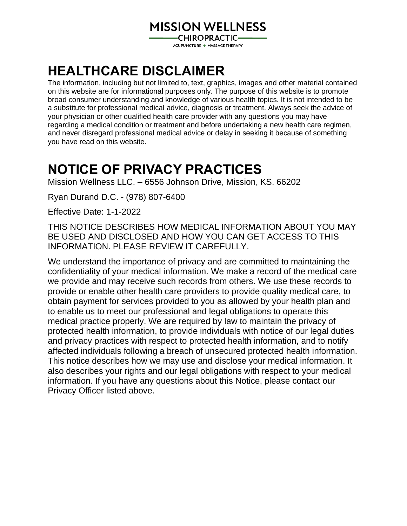# **MISSION WELLNESS**

**-CHIROPRACTIC—** ACUPUNCTURE ◆ MASSAGE THERAPY

# **HEALTHCARE DISCLAIMER**

The information, including but not limited to, text, graphics, images and other material contained on this website are for informational purposes only. The purpose of this website is to promote broad consumer understanding and knowledge of various health topics. It is not intended to be a substitute for professional medical advice, diagnosis or treatment. Always seek the advice of your physician or other qualified health care provider with any questions you may have regarding a medical condition or treatment and before undertaking a new health care regimen, and never disregard professional medical advice or delay in seeking it because of something you have read on this website.

# **NOTICE OF PRIVACY PRACTICES**

Mission Wellness LLC. – 6556 Johnson Drive, Mission, KS. 66202

Ryan Durand D.C. - (978) 807-6400

Effective Date: 1-1-2022

THIS NOTICE DESCRIBES HOW MEDICAL INFORMATION ABOUT YOU MAY BE USED AND DISCLOSED AND HOW YOU CAN GET ACCESS TO THIS INFORMATION. PLEASE REVIEW IT CAREFULLY.

We understand the importance of privacy and are committed to maintaining the confidentiality of your medical information. We make a record of the medical care we provide and may receive such records from others. We use these records to provide or enable other health care providers to provide quality medical care, to obtain payment for services provided to you as allowed by your health plan and to enable us to meet our professional and legal obligations to operate this medical practice properly. We are required by law to maintain the privacy of protected health information, to provide individuals with notice of our legal duties and privacy practices with respect to protected health information, and to notify affected individuals following a breach of unsecured protected health information. This notice describes how we may use and disclose your medical information. It also describes your rights and our legal obligations with respect to your medical information. If you have any questions about this Notice, please contact our Privacy Officer listed above.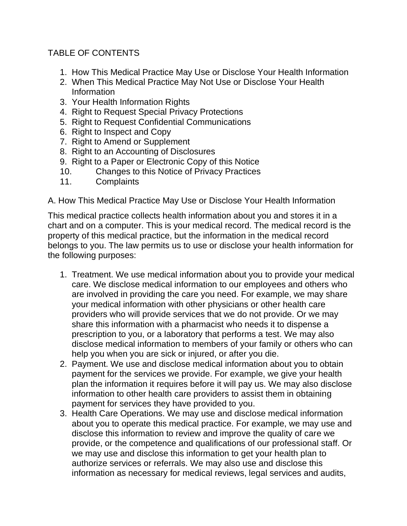## TABLE OF CONTENTS

- 1. How This Medical Practice May Use or Disclose Your Health Information
- 2. When This Medical Practice May Not Use or Disclose Your Health Information
- 3. Your Health Information Rights
- 4. Right to Request Special Privacy Protections
- 5. Right to Request Confidential Communications
- 6. Right to Inspect and Copy
- 7. Right to Amend or Supplement
- 8. Right to an Accounting of Disclosures
- 9. Right to a Paper or Electronic Copy of this Notice
- 10. Changes to this Notice of Privacy Practices
- 11. Complaints

A. How This Medical Practice May Use or Disclose Your Health Information

This medical practice collects health information about you and stores it in a chart and on a computer. This is your medical record. The medical record is the property of this medical practice, but the information in the medical record belongs to you. The law permits us to use or disclose your health information for the following purposes:

- 1. Treatment. We use medical information about you to provide your medical care. We disclose medical information to our employees and others who are involved in providing the care you need. For example, we may share your medical information with other physicians or other health care providers who will provide services that we do not provide. Or we may share this information with a pharmacist who needs it to dispense a prescription to you, or a laboratory that performs a test. We may also disclose medical information to members of your family or others who can help you when you are sick or injured, or after you die.
- 2. Payment. We use and disclose medical information about you to obtain payment for the services we provide. For example, we give your health plan the information it requires before it will pay us. We may also disclose information to other health care providers to assist them in obtaining payment for services they have provided to you.
- 3. Health Care Operations. We may use and disclose medical information about you to operate this medical practice. For example, we may use and disclose this information to review and improve the quality of care we provide, or the competence and qualifications of our professional staff. Or we may use and disclose this information to get your health plan to authorize services or referrals. We may also use and disclose this information as necessary for medical reviews, legal services and audits,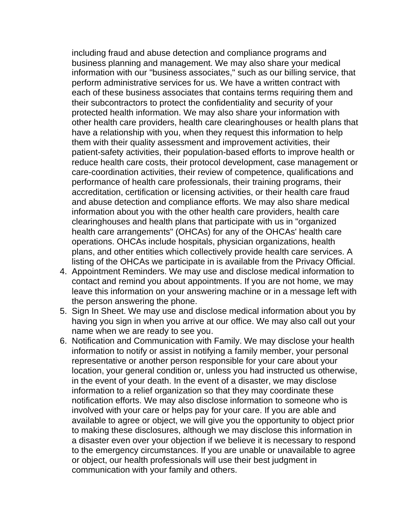including fraud and abuse detection and compliance programs and business planning and management. We may also share your medical information with our "business associates," such as our billing service, that perform administrative services for us. We have a written contract with each of these business associates that contains terms requiring them and their subcontractors to protect the confidentiality and security of your protected health information. We may also share your information with other health care providers, health care clearinghouses or health plans that have a relationship with you, when they request this information to help them with their quality assessment and improvement activities, their patient-safety activities, their population-based efforts to improve health or reduce health care costs, their protocol development, case management or care-coordination activities, their review of competence, qualifications and performance of health care professionals, their training programs, their accreditation, certification or licensing activities, or their health care fraud and abuse detection and compliance efforts. We may also share medical information about you with the other health care providers, health care clearinghouses and health plans that participate with us in "organized health care arrangements" (OHCAs) for any of the OHCAs' health care operations. OHCAs include hospitals, physician organizations, health plans, and other entities which collectively provide health care services. A listing of the OHCAs we participate in is available from the Privacy Official.

- 4. Appointment Reminders. We may use and disclose medical information to contact and remind you about appointments. If you are not home, we may leave this information on your answering machine or in a message left with the person answering the phone.
- 5. Sign In Sheet. We may use and disclose medical information about you by having you sign in when you arrive at our office. We may also call out your name when we are ready to see you.
- 6. Notification and Communication with Family. We may disclose your health information to notify or assist in notifying a family member, your personal representative or another person responsible for your care about your location, your general condition or, unless you had instructed us otherwise, in the event of your death. In the event of a disaster, we may disclose information to a relief organization so that they may coordinate these notification efforts. We may also disclose information to someone who is involved with your care or helps pay for your care. If you are able and available to agree or object, we will give you the opportunity to object prior to making these disclosures, although we may disclose this information in a disaster even over your objection if we believe it is necessary to respond to the emergency circumstances. If you are unable or unavailable to agree or object, our health professionals will use their best judgment in communication with your family and others.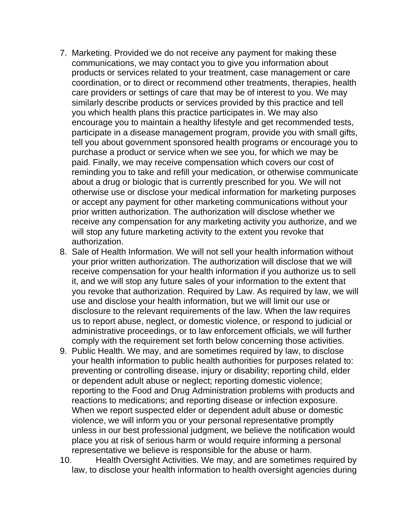- 7. Marketing. Provided we do not receive any payment for making these communications, we may contact you to give you information about products or services related to your treatment, case management or care coordination, or to direct or recommend other treatments, therapies, health care providers or settings of care that may be of interest to you. We may similarly describe products or services provided by this practice and tell you which health plans this practice participates in. We may also encourage you to maintain a healthy lifestyle and get recommended tests, participate in a disease management program, provide you with small gifts, tell you about government sponsored health programs or encourage you to purchase a product or service when we see you, for which we may be paid. Finally, we may receive compensation which covers our cost of reminding you to take and refill your medication, or otherwise communicate about a drug or biologic that is currently prescribed for you. We will not otherwise use or disclose your medical information for marketing purposes or accept any payment for other marketing communications without your prior written authorization. The authorization will disclose whether we receive any compensation for any marketing activity you authorize, and we will stop any future marketing activity to the extent you revoke that authorization.
- 8. Sale of Health Information. We will not sell your health information without your prior written authorization. The authorization will disclose that we will receive compensation for your health information if you authorize us to sell it, and we will stop any future sales of your information to the extent that you revoke that authorization. Required by Law. As required by law, we will use and disclose your health information, but we will limit our use or disclosure to the relevant requirements of the law. When the law requires us to report abuse, neglect, or domestic violence, or respond to judicial or administrative proceedings, or to law enforcement officials, we will further comply with the requirement set forth below concerning those activities.
- 9. Public Health. We may, and are sometimes required by law, to disclose your health information to public health authorities for purposes related to: preventing or controlling disease, injury or disability; reporting child, elder or dependent adult abuse or neglect; reporting domestic violence; reporting to the Food and Drug Administration problems with products and reactions to medications; and reporting disease or infection exposure. When we report suspected elder or dependent adult abuse or domestic violence, we will inform you or your personal representative promptly unless in our best professional judgment, we believe the notification would place you at risk of serious harm or would require informing a personal representative we believe is responsible for the abuse or harm.
- 10. Health Oversight Activities. We may, and are sometimes required by law, to disclose your health information to health oversight agencies during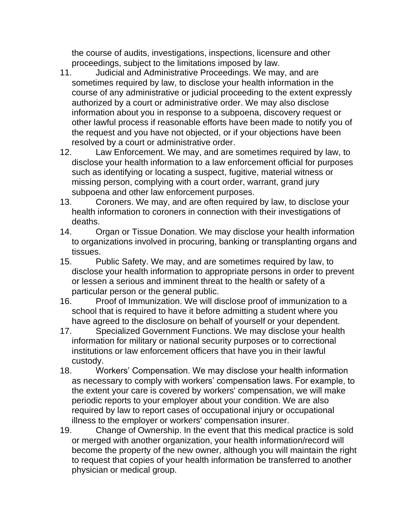the course of audits, investigations, inspections, licensure and other proceedings, subject to the limitations imposed by law.

- 11. Judicial and Administrative Proceedings. We may, and are sometimes required by law, to disclose your health information in the course of any administrative or judicial proceeding to the extent expressly authorized by a court or administrative order. We may also disclose information about you in response to a subpoena, discovery request or other lawful process if reasonable efforts have been made to notify you of the request and you have not objected, or if your objections have been resolved by a court or administrative order.
- 12. Law Enforcement. We may, and are sometimes required by law, to disclose your health information to a law enforcement official for purposes such as identifying or locating a suspect, fugitive, material witness or missing person, complying with a court order, warrant, grand jury subpoena and other law enforcement purposes.
- 13. Coroners. We may, and are often required by law, to disclose your health information to coroners in connection with their investigations of deaths.
- 14. Organ or Tissue Donation. We may disclose your health information to organizations involved in procuring, banking or transplanting organs and tissues.
- 15. Public Safety. We may, and are sometimes required by law, to disclose your health information to appropriate persons in order to prevent or lessen a serious and imminent threat to the health or safety of a particular person or the general public.
- 16. Proof of Immunization. We will disclose proof of immunization to a school that is required to have it before admitting a student where you have agreed to the disclosure on behalf of yourself or your dependent.
- 17. Specialized Government Functions. We may disclose your health information for military or national security purposes or to correctional institutions or law enforcement officers that have you in their lawful custody.
- 18. Workers' Compensation. We may disclose your health information as necessary to comply with workers' compensation laws. For example, to the extent your care is covered by workers' compensation, we will make periodic reports to your employer about your condition. We are also required by law to report cases of occupational injury or occupational illness to the employer or workers' compensation insurer.
- 19. Change of Ownership. In the event that this medical practice is sold or merged with another organization, your health information/record will become the property of the new owner, although you will maintain the right to request that copies of your health information be transferred to another physician or medical group.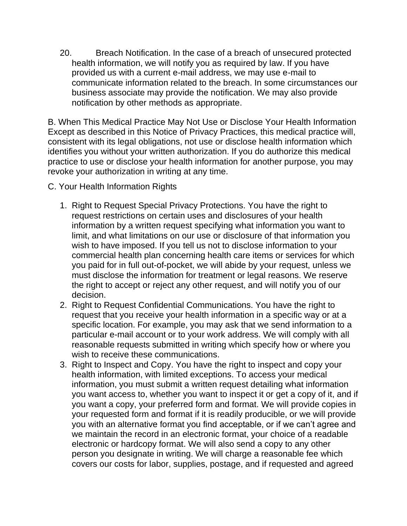20. Breach Notification. In the case of a breach of unsecured protected health information, we will notify you as required by law. If you have provided us with a current e-mail address, we may use e-mail to communicate information related to the breach. In some circumstances our business associate may provide the notification. We may also provide notification by other methods as appropriate.

B. When This Medical Practice May Not Use or Disclose Your Health Information Except as described in this Notice of Privacy Practices, this medical practice will, consistent with its legal obligations, not use or disclose health information which identifies you without your written authorization. If you do authorize this medical practice to use or disclose your health information for another purpose, you may revoke your authorization in writing at any time.

- C. Your Health Information Rights
	- 1. Right to Request Special Privacy Protections. You have the right to request restrictions on certain uses and disclosures of your health information by a written request specifying what information you want to limit, and what limitations on our use or disclosure of that information you wish to have imposed. If you tell us not to disclose information to your commercial health plan concerning health care items or services for which you paid for in full out-of-pocket, we will abide by your request, unless we must disclose the information for treatment or legal reasons. We reserve the right to accept or reject any other request, and will notify you of our decision.
	- 2. Right to Request Confidential Communications. You have the right to request that you receive your health information in a specific way or at a specific location. For example, you may ask that we send information to a particular e-mail account or to your work address. We will comply with all reasonable requests submitted in writing which specify how or where you wish to receive these communications.
	- 3. Right to Inspect and Copy. You have the right to inspect and copy your health information, with limited exceptions. To access your medical information, you must submit a written request detailing what information you want access to, whether you want to inspect it or get a copy of it, and if you want a copy, your preferred form and format. We will provide copies in your requested form and format if it is readily producible, or we will provide you with an alternative format you find acceptable, or if we can't agree and we maintain the record in an electronic format, your choice of a readable electronic or hardcopy format. We will also send a copy to any other person you designate in writing. We will charge a reasonable fee which covers our costs for labor, supplies, postage, and if requested and agreed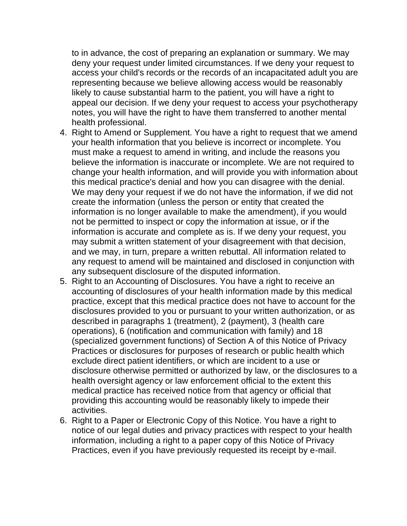to in advance, the cost of preparing an explanation or summary. We may deny your request under limited circumstances. If we deny your request to access your child's records or the records of an incapacitated adult you are representing because we believe allowing access would be reasonably likely to cause substantial harm to the patient, you will have a right to appeal our decision. If we deny your request to access your psychotherapy notes, you will have the right to have them transferred to another mental health professional.

- 4. Right to Amend or Supplement. You have a right to request that we amend your health information that you believe is incorrect or incomplete. You must make a request to amend in writing, and include the reasons you believe the information is inaccurate or incomplete. We are not required to change your health information, and will provide you with information about this medical practice's denial and how you can disagree with the denial. We may deny your request if we do not have the information, if we did not create the information (unless the person or entity that created the information is no longer available to make the amendment), if you would not be permitted to inspect or copy the information at issue, or if the information is accurate and complete as is. If we deny your request, you may submit a written statement of your disagreement with that decision, and we may, in turn, prepare a written rebuttal. All information related to any request to amend will be maintained and disclosed in conjunction with any subsequent disclosure of the disputed information.
- 5. Right to an Accounting of Disclosures. You have a right to receive an accounting of disclosures of your health information made by this medical practice, except that this medical practice does not have to account for the disclosures provided to you or pursuant to your written authorization, or as described in paragraphs 1 (treatment), 2 (payment), 3 (health care operations), 6 (notification and communication with family) and 18 (specialized government functions) of Section A of this Notice of Privacy Practices or disclosures for purposes of research or public health which exclude direct patient identifiers, or which are incident to a use or disclosure otherwise permitted or authorized by law, or the disclosures to a health oversight agency or law enforcement official to the extent this medical practice has received notice from that agency or official that providing this accounting would be reasonably likely to impede their activities.
- 6. Right to a Paper or Electronic Copy of this Notice. You have a right to notice of our legal duties and privacy practices with respect to your health information, including a right to a paper copy of this Notice of Privacy Practices, even if you have previously requested its receipt by e-mail.